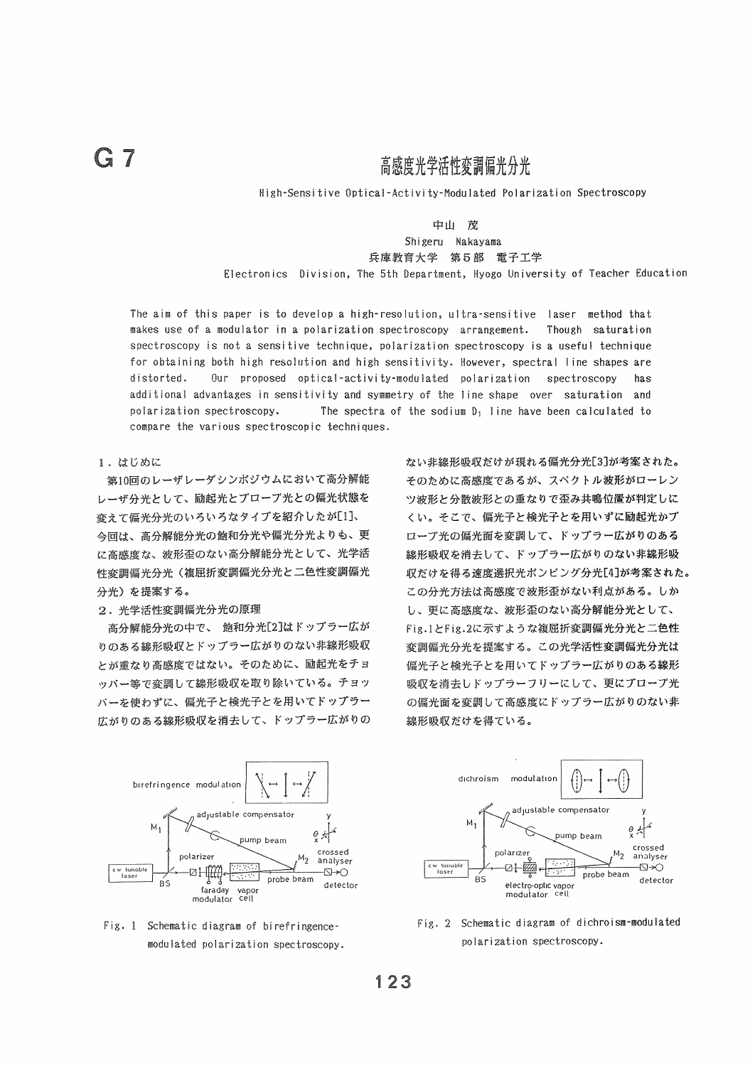# 高感度光学活性変調偏光分光

High-Sensitive Optical-Activity-Modulated Polarization Spectroscopy

# 中山 茂 Shigeru Nakayama

兵庫教育大学 第5部 電子工学

Electronics Division, The 5th Department, Hyogo University of Teacher Education

The aim of this paper is to develop a high-resolution, ultra-sensitive laser method that makes use of a modulator in a polarization spectroscopy arrangement. Though saturation spectroscopy is not a sensitive technique, polarization spectroscopy is a useful technique for obtaining both high resolution and high sensitivity. However, spectral line shapes are Our proposed optical-activity-modulated polarization distorted. spectroscopy has additional advantages in sensitivity and symmetry of the line shape over saturation and polarization spectroscopy. The spectra of the sodium  $D_1$  line have been calculated to compare the various spectroscopic techniques.

## 1. はじめに

第10回のレーザレーダシンボジウムにおいて高分解能 レーザ分光として、励起光とプローブ光との偏光状態を 変えて偏光分光のいろいろなタイプを紹介したが[1]、 今回は、高分解能分光の飽和分光や偏光分光よりも、更 に高感度な、波形歪のない高分解能分光として、光学活 性変調偏光分光(複屈折変調偏光分光と二色性変調偏光 分光)を提案する。

#### 2. 光学活性変調偏光分光の原理

高分解能分光の中で、 飽和分光[2]はドップラー広が りのある線形吸収とドップラー広がりのない非線形吸収 とが重なり高感度ではない。そのために、励起光をチョ ッパー等で変調して線形吸収を取り除いている。チョッ バーを使わずに、偏光子と検光子とを用いてドップラー 広がりのある線形吸収を消去して、ドップラー広がりの









Fig. 2 Schematic diagram of dichroism-modulated polarization spectroscopy.